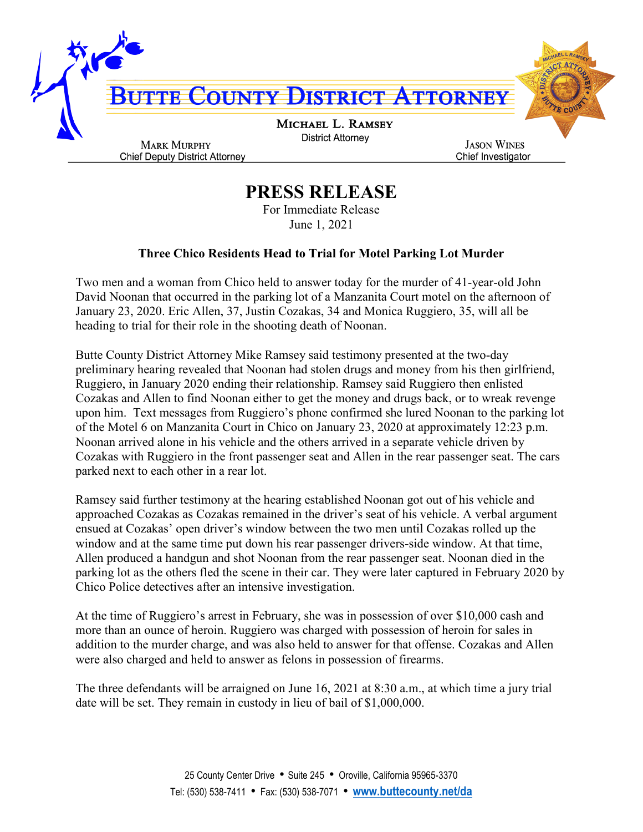

## **PRESS RELEASE**

For Immediate Release June 1, 2021

## **Three Chico Residents Head to Trial for Motel Parking Lot Murder**

Two men and a woman from Chico held to answer today for the murder of 41-year-old John David Noonan that occurred in the parking lot of a Manzanita Court motel on the afternoon of January 23, 2020. Eric Allen, 37, Justin Cozakas, 34 and Monica Ruggiero, 35, will all be heading to trial for their role in the shooting death of Noonan.

Butte County District Attorney Mike Ramsey said testimony presented at the two-day preliminary hearing revealed that Noonan had stolen drugs and money from his then girlfriend, Ruggiero, in January 2020 ending their relationship. Ramsey said Ruggiero then enlisted Cozakas and Allen to find Noonan either to get the money and drugs back, or to wreak revenge upon him. Text messages from Ruggiero's phone confirmed she lured Noonan to the parking lot of the Motel 6 on Manzanita Court in Chico on January 23, 2020 at approximately 12:23 p.m. Noonan arrived alone in his vehicle and the others arrived in a separate vehicle driven by Cozakas with Ruggiero in the front passenger seat and Allen in the rear passenger seat. The cars parked next to each other in a rear lot.

Ramsey said further testimony at the hearing established Noonan got out of his vehicle and approached Cozakas as Cozakas remained in the driver's seat of his vehicle. A verbal argument ensued at Cozakas' open driver's window between the two men until Cozakas rolled up the window and at the same time put down his rear passenger drivers-side window. At that time, Allen produced a handgun and shot Noonan from the rear passenger seat. Noonan died in the parking lot as the others fled the scene in their car. They were later captured in February 2020 by Chico Police detectives after an intensive investigation.

At the time of Ruggiero's arrest in February, she was in possession of over \$10,000 cash and more than an ounce of heroin. Ruggiero was charged with possession of heroin for sales in addition to the murder charge, and was also held to answer for that offense. Cozakas and Allen were also charged and held to answer as felons in possession of firearms.

The three defendants will be arraigned on June 16, 2021 at 8:30 a.m., at which time a jury trial date will be set. They remain in custody in lieu of bail of \$1,000,000.